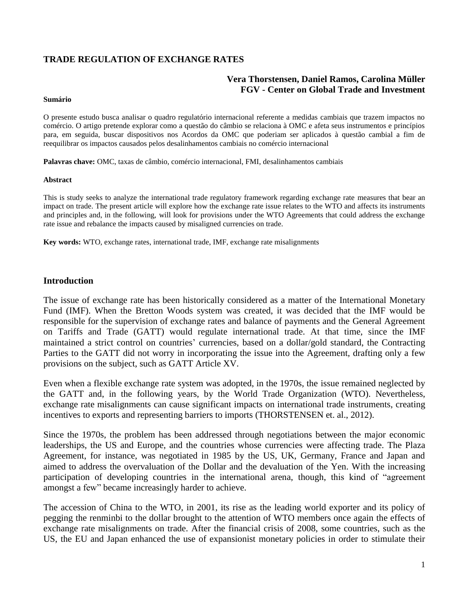# **TRADE REGULATION OF EXCHANGE RATES**

### **Vera Thorstensen, Daniel Ramos, Carolina Müller FGV - Center on Global Trade and Investment**

#### **Sumário**

O presente estudo busca analisar o quadro regulatório internacional referente a medidas cambiais que trazem impactos no comércio. O artigo pretende explorar como a questão do câmbio se relaciona à OMC e afeta seus instrumentos e princípios para, em seguida, buscar dispositivos nos Acordos da OMC que poderiam ser aplicados à questão cambial a fim de reequilibrar os impactos causados pelos desalinhamentos cambiais no comércio internacional

**Palavras chave:** OMC, taxas de câmbio, comércio internacional, FMI, desalinhamentos cambiais

#### **Abstract**

This is study seeks to analyze the international trade regulatory framework regarding exchange rate measures that bear an impact on trade. The present article will explore how the exchange rate issue relates to the WTO and affects its instruments and principles and, in the following, will look for provisions under the WTO Agreements that could address the exchange rate issue and rebalance the impacts caused by misaligned currencies on trade.

**Key words:** WTO, exchange rates, international trade, IMF, exchange rate misalignments

#### **Introduction**

The issue of exchange rate has been historically considered as a matter of the International Monetary Fund (IMF). When the Bretton Woods system was created, it was decided that the IMF would be responsible for the supervision of exchange rates and balance of payments and the General Agreement on Tariffs and Trade (GATT) would regulate international trade. At that time, since the IMF maintained a strict control on countries' currencies, based on a dollar/gold standard, the Contracting Parties to the GATT did not worry in incorporating the issue into the Agreement, drafting only a few provisions on the subject, such as GATT Article XV.

Even when a flexible exchange rate system was adopted, in the 1970s, the issue remained neglected by the GATT and, in the following years, by the World Trade Organization (WTO). Nevertheless, exchange rate misalignments can cause significant impacts on international trade instruments, creating incentives to exports and representing barriers to imports (THORSTENSEN et. al., 2012).

Since the 1970s, the problem has been addressed through negotiations between the major economic leaderships, the US and Europe, and the countries whose currencies were affecting trade. The Plaza Agreement, for instance, was negotiated in 1985 by the US, UK, Germany, France and Japan and aimed to address the overvaluation of the Dollar and the devaluation of the Yen. With the increasing participation of developing countries in the international arena, though, this kind of "agreement amongst a few" became increasingly harder to achieve.

The accession of China to the WTO, in 2001, its rise as the leading world exporter and its policy of pegging the renminbi to the dollar brought to the attention of WTO members once again the effects of exchange rate misalignments on trade. After the financial crisis of 2008, some countries, such as the US, the EU and Japan enhanced the use of expansionist monetary policies in order to stimulate their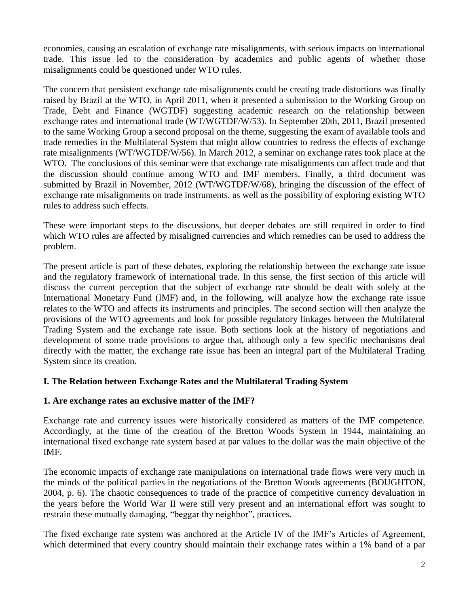economies, causing an escalation of exchange rate misalignments, with serious impacts on international trade. This issue led to the consideration by academics and public agents of whether those misalignments could be questioned under WTO rules.

The concern that persistent exchange rate misalignments could be creating trade distortions was finally raised by Brazil at the WTO, in April 2011, when it presented a submission to the Working Group on Trade, Debt and Finance (WGTDF) suggesting academic research on the relationship between exchange rates and international trade (WT/WGTDF/W/53). In September 20th, 2011, Brazil presented to the same Working Group a second proposal on the theme, suggesting the exam of available tools and trade remedies in the Multilateral System that might allow countries to redress the effects of exchange rate misalignments (WT/WGTDF/W/56). In March 2012, a seminar on exchange rates took place at the WTO. The conclusions of this seminar were that exchange rate misalignments can affect trade and that the discussion should continue among WTO and IMF members. Finally, a third document was submitted by Brazil in November, 2012 (WT/WGTDF/W/68), bringing the discussion of the effect of exchange rate misalignments on trade instruments, as well as the possibility of exploring existing WTO rules to address such effects.

These were important steps to the discussions, but deeper debates are still required in order to find which WTO rules are affected by misaligned currencies and which remedies can be used to address the problem.

The present article is part of these debates, exploring the relationship between the exchange rate issue and the regulatory framework of international trade. In this sense, the first section of this article will discuss the current perception that the subject of exchange rate should be dealt with solely at the International Monetary Fund (IMF) and, in the following, will analyze how the exchange rate issue relates to the WTO and affects its instruments and principles. The second section will then analyze the provisions of the WTO agreements and look for possible regulatory linkages between the Multilateral Trading System and the exchange rate issue. Both sections look at the history of negotiations and development of some trade provisions to argue that, although only a few specific mechanisms deal directly with the matter, the exchange rate issue has been an integral part of the Multilateral Trading System since its creation.

# **I. The Relation between Exchange Rates and the Multilateral Trading System**

### **1. Are exchange rates an exclusive matter of the IMF?**

Exchange rate and currency issues were historically considered as matters of the IMF competence. Accordingly, at the time of the creation of the Bretton Woods System in 1944, maintaining an international fixed exchange rate system based at par values to the dollar was the main objective of the IMF.

The economic impacts of exchange rate manipulations on international trade flows were very much in the minds of the political parties in the negotiations of the Bretton Woods agreements (BOUGHTON, 2004, p. 6). The chaotic consequences to trade of the practice of competitive currency devaluation in the years before the World War II were still very present and an international effort was sought to restrain these mutually damaging, "beggar thy neighbor", practices.

The fixed exchange rate system was anchored at the Article IV of the IMF's Articles of Agreement, which determined that every country should maintain their exchange rates within a 1% band of a par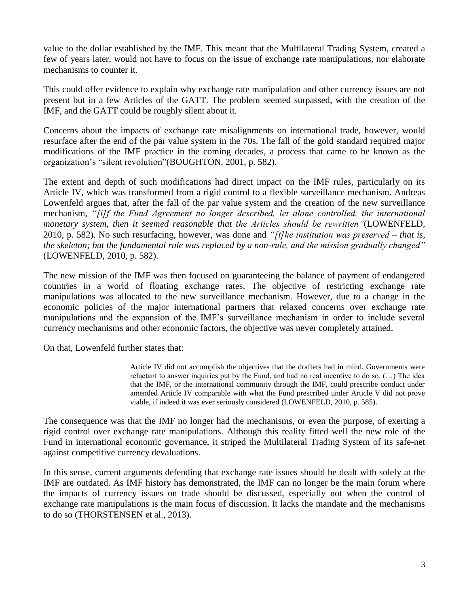value to the dollar established by the IMF. This meant that the Multilateral Trading System, created a few of years later, would not have to focus on the issue of exchange rate manipulations, nor elaborate mechanisms to counter it.

This could offer evidence to explain why exchange rate manipulation and other currency issues are not present but in a few Articles of the GATT. The problem seemed surpassed, with the creation of the IMF, and the GATT could be roughly silent about it.

Concerns about the impacts of exchange rate misalignments on international trade, however, would resurface after the end of the par value system in the 70s. The fall of the gold standard required major modifications of the IMF practice in the coming decades, a process that came to be known as the organization's "silent revolution"(BOUGHTON, 2001, p. 582).

The extent and depth of such modifications had direct impact on the IMF rules, particularly on its Article IV, which was transformed from a rigid control to a flexible surveillance mechanism. Andreas Lowenfeld argues that, after the fall of the par value system and the creation of the new surveillance mechanism, *"[i]f the Fund Agreement no longer described, let alone controlled, the international monetary system, then it seemed reasonable that the Articles should be rewritten"*(LOWENFELD, 2010, p. 582). No such resurfacing, however, was done and *"[t]he institution was preserved – that is, the skeleton; but the fundamental rule was replaced by a non-rule, and the mission gradually changed"* (LOWENFELD, 2010, p. 582).

The new mission of the IMF was then focused on guaranteeing the balance of payment of endangered countries in a world of floating exchange rates. The objective of restricting exchange rate manipulations was allocated to the new surveillance mechanism. However, due to a change in the economic policies of the major international partners that relaxed concerns over exchange rate manipulations and the expansion of the IMF's surveillance mechanism in order to include several currency mechanisms and other economic factors, the objective was never completely attained.

On that, Lowenfeld further states that:

Article IV did not accomplish the objectives that the drafters had in mind. Governments were reluctant to answer inquiries put by the Fund, and had no real incentive to do so. (…) The idea that the IMF, or the international community through the IMF, could prescribe conduct under amended Article IV comparable with what the Fund prescribed under Article V did not prove viable, if indeed it was ever seriously considered (LOWENFELD, 2010, p. 585).

The consequence was that the IMF no longer had the mechanisms, or even the purpose, of exerting a rigid control over exchange rate manipulations. Although this reality fitted well the new role of the Fund in international economic governance, it striped the Multilateral Trading System of its safe-net against competitive currency devaluations.

In this sense, current arguments defending that exchange rate issues should be dealt with solely at the IMF are outdated. As IMF history has demonstrated, the IMF can no longer be the main forum where the impacts of currency issues on trade should be discussed, especially not when the control of exchange rate manipulations is the main focus of discussion. It lacks the mandate and the mechanisms to do so (THORSTENSEN et al., 2013).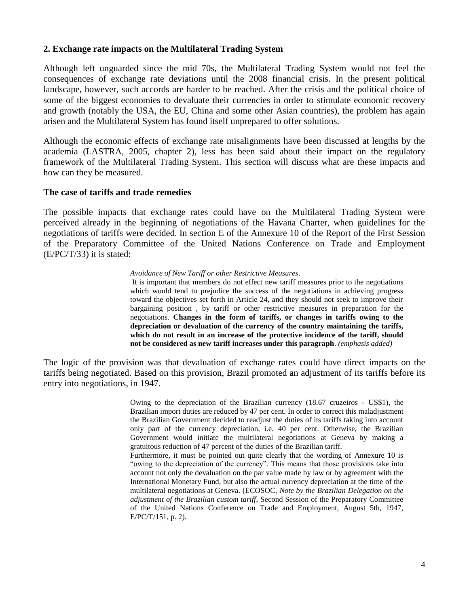#### **2. Exchange rate impacts on the Multilateral Trading System**

Although left unguarded since the mid 70s, the Multilateral Trading System would not feel the consequences of exchange rate deviations until the 2008 financial crisis. In the present political landscape, however, such accords are harder to be reached. After the crisis and the political choice of some of the biggest economies to devaluate their currencies in order to stimulate economic recovery and growth (notably the USA, the EU, China and some other Asian countries), the problem has again arisen and the Multilateral System has found itself unprepared to offer solutions.

Although the economic effects of exchange rate misalignments have been discussed at lengths by the academia (LASTRA, 2005, chapter 2), less has been said about their impact on the regulatory framework of the Multilateral Trading System. This section will discuss what are these impacts and how can they be measured.

#### **The case of tariffs and trade remedies**

The possible impacts that exchange rates could have on the Multilateral Trading System were perceived already in the beginning of negotiations of the Havana Charter, when guidelines for the negotiations of tariffs were decided. In section E of the Annexure 10 of the Report of the First Session of the Preparatory Committee of the United Nations Conference on Trade and Employment (E/PC/T/33) it is stated:

#### *Avoidance of New Tariff or other Restrictive Measures*.

It is important that members do not effect new tariff measures prior to the negotiations which would tend to prejudice the success of the negotiations in achieving progress toward the objectives set forth in Article 24, and they should not seek to improve their bargaining position , by tariff or other restrictive measures in preparation for the negotiations. **Changes in the form of tariffs, or changes in tariffs owing to the depreciation or devaluation of the currency of the country maintaining the tariffs, which do not result in an increase of the protective incidence of the tariff, should not be considered as new tariff increases under this paragraph**. *(emphasis added)*

The logic of the provision was that devaluation of exchange rates could have direct impacts on the tariffs being negotiated. Based on this provision, Brazil promoted an adjustment of its tariffs before its entry into negotiations, in 1947.

> Owing to the depreciation of the Brazilian currency (18.67 cruzeiros - US\$1), the Brazilian import duties are reduced by 47 per cent. In order to correct this maladjustment the Brazilian Government decided to readjust the duties of its tariffs taking into account only part of the currency depreciation, i.e. 40 per cent. Otherwise, the Brazilian Government would initiate the multilateral negotiations at Geneva by making a gratuitous reduction of 47 percent of the duties of the Brazilian tariff.

> Furthermore, it must be pointed out quite clearly that the wording of Annexure 10 is "owing to the depreciation of the currency". This means that those provisions take into account not only the devaluation on the par value made by law or by agreement with the International Monetary Fund, but also the actual currency depreciation at the time of the multilateral negotiations at Geneva. (ECOSOC, *Note by the Brazilian Delegation on the adjustment of the Brazilian custom tariff*, Second Session of the Preparatory Committee of the United Nations Conference on Trade and Employment, August 5th, 1947, E/PC/T/151, p. 2).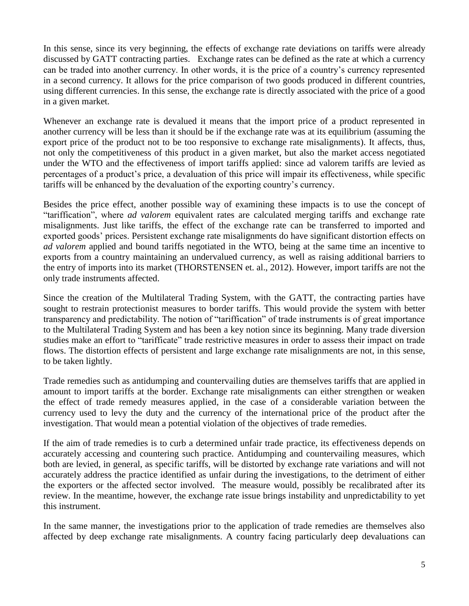In this sense, since its very beginning, the effects of exchange rate deviations on tariffs were already discussed by GATT contracting parties. Exchange rates can be defined as the rate at which a currency can be traded into another currency. In other words, it is the price of a country's currency represented in a second currency. It allows for the price comparison of two goods produced in different countries, using different currencies. In this sense, the exchange rate is directly associated with the price of a good in a given market.

Whenever an exchange rate is devalued it means that the import price of a product represented in another currency will be less than it should be if the exchange rate was at its equilibrium (assuming the export price of the product not to be too responsive to exchange rate misalignments). It affects, thus, not only the competitiveness of this product in a given market, but also the market access negotiated under the WTO and the effectiveness of import tariffs applied: since ad valorem tariffs are levied as percentages of a product's price, a devaluation of this price will impair its effectiveness, while specific tariffs will be enhanced by the devaluation of the exporting country's currency.

Besides the price effect, another possible way of examining these impacts is to use the concept of "tariffication", where *ad valorem* equivalent rates are calculated merging tariffs and exchange rate misalignments. Just like tariffs, the effect of the exchange rate can be transferred to imported and exported goods' prices. Persistent exchange rate misalignments do have significant distortion effects on *ad valorem* applied and bound tariffs negotiated in the WTO, being at the same time an incentive to exports from a country maintaining an undervalued currency, as well as raising additional barriers to the entry of imports into its market (THORSTENSEN et. al., 2012). However, import tariffs are not the only trade instruments affected.

Since the creation of the Multilateral Trading System, with the GATT, the contracting parties have sought to restrain protectionist measures to border tariffs. This would provide the system with better transparency and predictability. The notion of "tariffication" of trade instruments is of great importance to the Multilateral Trading System and has been a key notion since its beginning. Many trade diversion studies make an effort to "tarifficate" trade restrictive measures in order to assess their impact on trade flows. The distortion effects of persistent and large exchange rate misalignments are not, in this sense, to be taken lightly.

Trade remedies such as antidumping and countervailing duties are themselves tariffs that are applied in amount to import tariffs at the border. Exchange rate misalignments can either strengthen or weaken the effect of trade remedy measures applied, in the case of a considerable variation between the currency used to levy the duty and the currency of the international price of the product after the investigation. That would mean a potential violation of the objectives of trade remedies.

If the aim of trade remedies is to curb a determined unfair trade practice, its effectiveness depends on accurately accessing and countering such practice. Antidumping and countervailing measures, which both are levied, in general, as specific tariffs, will be distorted by exchange rate variations and will not accurately address the practice identified as unfair during the investigations, to the detriment of either the exporters or the affected sector involved. The measure would, possibly be recalibrated after its review. In the meantime, however, the exchange rate issue brings instability and unpredictability to yet this instrument.

In the same manner, the investigations prior to the application of trade remedies are themselves also affected by deep exchange rate misalignments. A country facing particularly deep devaluations can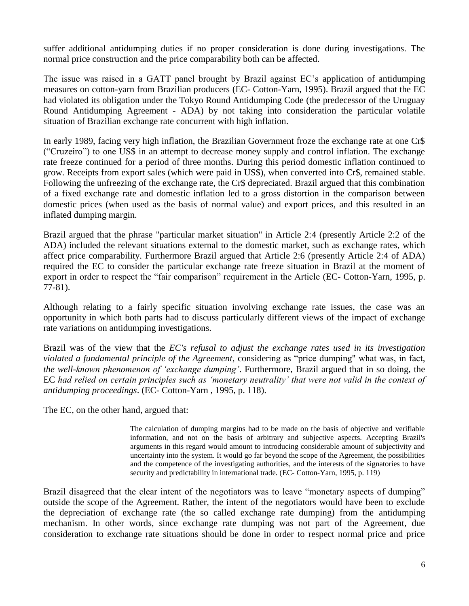suffer additional antidumping duties if no proper consideration is done during investigations. The normal price construction and the price comparability both can be affected.

The issue was raised in a GATT panel brought by Brazil against EC's application of antidumping measures on cotton-yarn from Brazilian producers (EC- Cotton-Yarn, 1995). Brazil argued that the EC had violated its obligation under the Tokyo Round Antidumping Code (the predecessor of the Uruguay Round Antidumping Agreement - ADA) by not taking into consideration the particular volatile situation of Brazilian exchange rate concurrent with high inflation.

In early 1989, facing very high inflation, the Brazilian Government froze the exchange rate at one Cr\$ ("Cruzeiro") to one US\$ in an attempt to decrease money supply and control inflation. The exchange rate freeze continued for a period of three months. During this period domestic inflation continued to grow. Receipts from export sales (which were paid in US\$), when converted into Cr\$, remained stable. Following the unfreezing of the exchange rate, the Cr\$ depreciated. Brazil argued that this combination of a fixed exchange rate and domestic inflation led to a gross distortion in the comparison between domestic prices (when used as the basis of normal value) and export prices, and this resulted in an inflated dumping margin.

Brazil argued that the phrase "particular market situation" in Article 2:4 (presently Article 2:2 of the ADA) included the relevant situations external to the domestic market, such as exchange rates, which affect price comparability. Furthermore Brazil argued that Article 2:6 (presently Article 2:4 of ADA) required the EC to consider the particular exchange rate freeze situation in Brazil at the moment of export in order to respect the "fair comparison" requirement in the Article (EC- Cotton-Yarn, 1995, p. 77-81).

Although relating to a fairly specific situation involving exchange rate issues, the case was an opportunity in which both parts had to discuss particularly different views of the impact of exchange rate variations on antidumping investigations.

Brazil was of the view that the *EC's refusal to adjust the exchange rates used in its investigation violated a fundamental principle of the Agreement*, considering as "price dumping" what was, in fact, *the well-known phenomenon of 'exchange dumping'*. Furthermore, Brazil argued that in so doing, the EC *had relied on certain principles such as 'monetary neutrality' that were not valid in the context of antidumping proceedings*. (EC- Cotton-Yarn , 1995, p. 118).

The EC, on the other hand, argued that:

The calculation of dumping margins had to be made on the basis of objective and verifiable information, and not on the basis of arbitrary and subjective aspects. Accepting Brazil's arguments in this regard would amount to introducing considerable amount of subjectivity and uncertainty into the system. It would go far beyond the scope of the Agreement, the possibilities and the competence of the investigating authorities, and the interests of the signatories to have security and predictability in international trade. (EC- Cotton-Yarn, 1995, p. 119)

Brazil disagreed that the clear intent of the negotiators was to leave "monetary aspects of dumping" outside the scope of the Agreement. Rather, the intent of the negotiators would have been to exclude the depreciation of exchange rate (the so called exchange rate dumping) from the antidumping mechanism. In other words, since exchange rate dumping was not part of the Agreement, due consideration to exchange rate situations should be done in order to respect normal price and price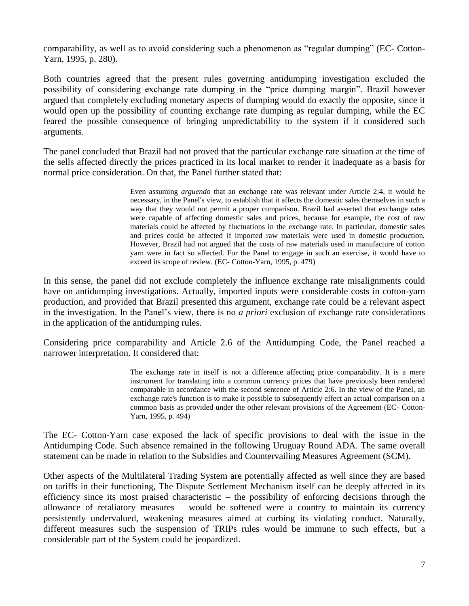comparability, as well as to avoid considering such a phenomenon as "regular dumping" (EC- Cotton-Yarn, 1995, p. 280).

Both countries agreed that the present rules governing antidumping investigation excluded the possibility of considering exchange rate dumping in the "price dumping margin". Brazil however argued that completely excluding monetary aspects of dumping would do exactly the opposite, since it would open up the possibility of counting exchange rate dumping as regular dumping, while the EC feared the possible consequence of bringing unpredictability to the system if it considered such arguments.

The panel concluded that Brazil had not proved that the particular exchange rate situation at the time of the sells affected directly the prices practiced in its local market to render it inadequate as a basis for normal price consideration. On that, the Panel further stated that:

> Even assuming *arguendo* that an exchange rate was relevant under Article 2:4, it would be necessary, in the Panel's view, to establish that it affects the domestic sales themselves in such a way that they would not permit a proper comparison. Brazil had asserted that exchange rates were capable of affecting domestic sales and prices, because for example, the cost of raw materials could be affected by fluctuations in the exchange rate. In particular, domestic sales and prices could be affected if imported raw materials were used in domestic production. However, Brazil had not argued that the costs of raw materials used in manufacture of cotton yarn were in fact so affected. For the Panel to engage in such an exercise, it would have to exceed its scope of review. (EC- Cotton-Yarn, 1995, p. 479)

In this sense, the panel did not exclude completely the influence exchange rate misalignments could have on antidumping investigations. Actually, imported inputs were considerable costs in cotton-yarn production, and provided that Brazil presented this argument, exchange rate could be a relevant aspect in the investigation. In the Panel's view, there is no *a priori* exclusion of exchange rate considerations in the application of the antidumping rules.

Considering price comparability and Article 2.6 of the Antidumping Code, the Panel reached a narrower interpretation. It considered that:

> The exchange rate in itself is not a difference affecting price comparability. It is a mere instrument for translating into a common currency prices that have previously been rendered comparable in accordance with the second sentence of Article 2:6. In the view of the Panel, an exchange rate's function is to make it possible to subsequently effect an actual comparison on a common basis as provided under the other relevant provisions of the Agreement (EC- Cotton-Yarn, 1995, p. 494)

The EC- Cotton-Yarn case exposed the lack of specific provisions to deal with the issue in the Antidumping Code. Such absence remained in the following Uruguay Round ADA. The same overall statement can be made in relation to the Subsidies and Countervailing Measures Agreement (SCM).

Other aspects of the Multilateral Trading System are potentially affected as well since they are based on tariffs in their functioning, The Dispute Settlement Mechanism itself can be deeply affected in its efficiency since its most praised characteristic – the possibility of enforcing decisions through the allowance of retaliatory measures – would be softened were a country to maintain its currency persistently undervalued, weakening measures aimed at curbing its violating conduct. Naturally, different measures such the suspension of TRIPs rules would be immune to such effects, but a considerable part of the System could be jeopardized.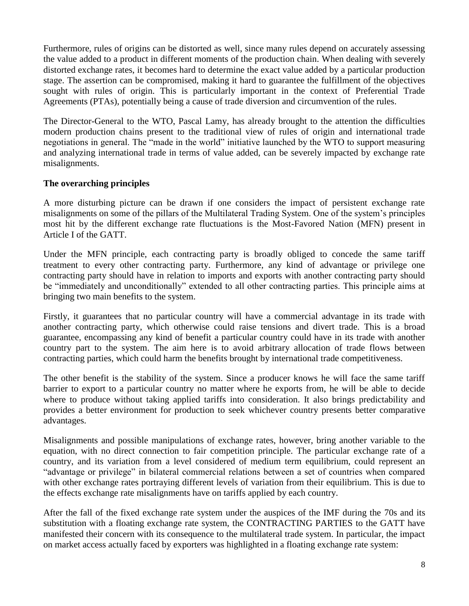Furthermore, rules of origins can be distorted as well, since many rules depend on accurately assessing the value added to a product in different moments of the production chain. When dealing with severely distorted exchange rates, it becomes hard to determine the exact value added by a particular production stage. The assertion can be compromised, making it hard to guarantee the fulfillment of the objectives sought with rules of origin. This is particularly important in the context of Preferential Trade Agreements (PTAs), potentially being a cause of trade diversion and circumvention of the rules.

The Director-General to the WTO, Pascal Lamy, has already brought to the attention the difficulties modern production chains present to the traditional view of rules of origin and international trade negotiations in general. The "made in the world" initiative launched by the WTO to support measuring and analyzing international trade in terms of value added, can be severely impacted by exchange rate misalignments.

## **The overarching principles**

A more disturbing picture can be drawn if one considers the impact of persistent exchange rate misalignments on some of the pillars of the Multilateral Trading System. One of the system's principles most hit by the different exchange rate fluctuations is the Most-Favored Nation (MFN) present in Article I of the GATT.

Under the MFN principle, each contracting party is broadly obliged to concede the same tariff treatment to every other contracting party. Furthermore, any kind of advantage or privilege one contracting party should have in relation to imports and exports with another contracting party should be "immediately and unconditionally" extended to all other contracting parties. This principle aims at bringing two main benefits to the system.

Firstly, it guarantees that no particular country will have a commercial advantage in its trade with another contracting party, which otherwise could raise tensions and divert trade. This is a broad guarantee, encompassing any kind of benefit a particular country could have in its trade with another country part to the system. The aim here is to avoid arbitrary allocation of trade flows between contracting parties, which could harm the benefits brought by international trade competitiveness.

The other benefit is the stability of the system. Since a producer knows he will face the same tariff barrier to export to a particular country no matter where he exports from, he will be able to decide where to produce without taking applied tariffs into consideration. It also brings predictability and provides a better environment for production to seek whichever country presents better comparative advantages.

Misalignments and possible manipulations of exchange rates, however, bring another variable to the equation, with no direct connection to fair competition principle. The particular exchange rate of a country, and its variation from a level considered of medium term equilibrium, could represent an "advantage or privilege" in bilateral commercial relations between a set of countries when compared with other exchange rates portraying different levels of variation from their equilibrium. This is due to the effects exchange rate misalignments have on tariffs applied by each country.

After the fall of the fixed exchange rate system under the auspices of the IMF during the 70s and its substitution with a floating exchange rate system, the CONTRACTING PARTIES to the GATT have manifested their concern with its consequence to the multilateral trade system. In particular, the impact on market access actually faced by exporters was highlighted in a floating exchange rate system: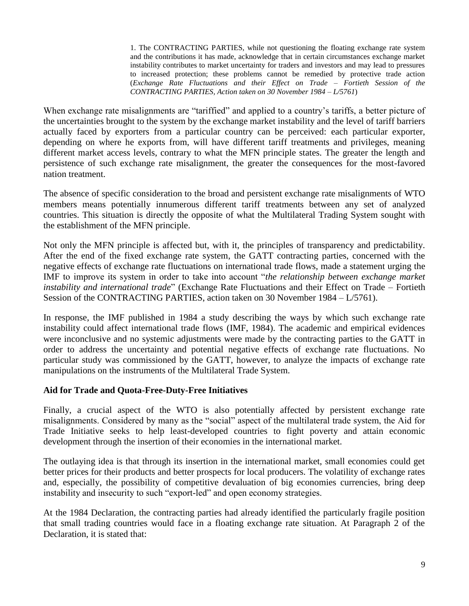1. The CONTRACTING PARTIES, while not questioning the floating exchange rate system and the contributions it has made, acknowledge that in certain circumstances exchange market instability contributes to market uncertainty for traders and investors and may lead to pressures to increased protection; these problems cannot be remedied by protective trade action (*Exchange Rate Fluctuations and their Effect on Trade – Fortieth Session of the CONTRACTING PARTIES, Action taken on 30 November 1984 – L/5761*)

When exchange rate misalignments are "tariffied" and applied to a country's tariffs, a better picture of the uncertainties brought to the system by the exchange market instability and the level of tariff barriers actually faced by exporters from a particular country can be perceived: each particular exporter, depending on where he exports from, will have different tariff treatments and privileges, meaning different market access levels, contrary to what the MFN principle states. The greater the length and persistence of such exchange rate misalignment, the greater the consequences for the most-favored nation treatment.

The absence of specific consideration to the broad and persistent exchange rate misalignments of WTO members means potentially innumerous different tariff treatments between any set of analyzed countries. This situation is directly the opposite of what the Multilateral Trading System sought with the establishment of the MFN principle.

Not only the MFN principle is affected but, with it, the principles of transparency and predictability. After the end of the fixed exchange rate system, the GATT contracting parties, concerned with the negative effects of exchange rate fluctuations on international trade flows, made a statement urging the IMF to improve its system in order to take into account "*the relationship between exchange market instability and international trade*" (Exchange Rate Fluctuations and their Effect on Trade – Fortieth Session of the CONTRACTING PARTIES, action taken on 30 November 1984 – L/5761).

In response, the IMF published in 1984 a study describing the ways by which such exchange rate instability could affect international trade flows (IMF, 1984). The academic and empirical evidences were inconclusive and no systemic adjustments were made by the contracting parties to the GATT in order to address the uncertainty and potential negative effects of exchange rate fluctuations. No particular study was commissioned by the GATT, however, to analyze the impacts of exchange rate manipulations on the instruments of the Multilateral Trade System.

# **Aid for Trade and Quota-Free-Duty-Free Initiatives**

Finally, a crucial aspect of the WTO is also potentially affected by persistent exchange rate misalignments. Considered by many as the "social" aspect of the multilateral trade system, the Aid for Trade Initiative seeks to help least-developed countries to fight poverty and attain economic development through the insertion of their economies in the international market.

The outlaying idea is that through its insertion in the international market, small economies could get better prices for their products and better prospects for local producers. The volatility of exchange rates and, especially, the possibility of competitive devaluation of big economies currencies, bring deep instability and insecurity to such "export-led" and open economy strategies.

At the 1984 Declaration, the contracting parties had already identified the particularly fragile position that small trading countries would face in a floating exchange rate situation. At Paragraph 2 of the Declaration, it is stated that: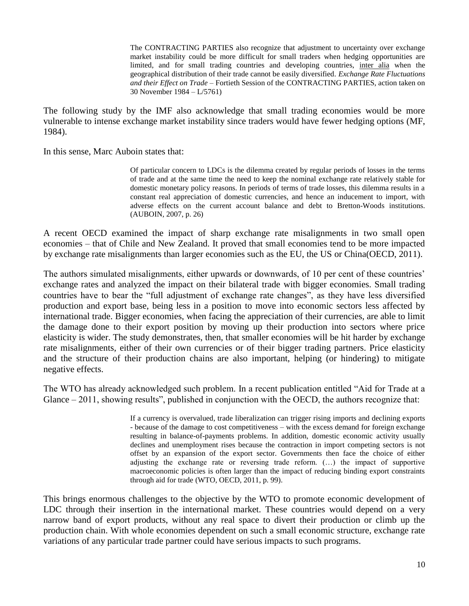The CONTRACTING PARTIES also recognize that adjustment to uncertainty over exchange market instability could be more difficult for small traders when hedging opportunities are limited, and for small trading countries and developing countries, inter alia when the geographical distribution of their trade cannot be easily diversified. *Exchange Rate Fluctuations and their Effect on Trade* – Fortieth Session of the CONTRACTING PARTIES, action taken on 30 November 1984 – L/5761)

The following study by the IMF also acknowledge that small trading economies would be more vulnerable to intense exchange market instability since traders would have fewer hedging options (MF, 1984).

In this sense, Marc Auboin states that:

Of particular concern to LDCs is the dilemma created by regular periods of losses in the terms of trade and at the same time the need to keep the nominal exchange rate relatively stable for domestic monetary policy reasons. In periods of terms of trade losses, this dilemma results in a constant real appreciation of domestic currencies, and hence an inducement to import, with adverse effects on the current account balance and debt to Bretton-Woods institutions. (AUBOIN, 2007, p. 26)

A recent OECD examined the impact of sharp exchange rate misalignments in two small open economies – that of Chile and New Zealand. It proved that small economies tend to be more impacted by exchange rate misalignments than larger economies such as the EU, the US or China(OECD, 2011).

The authors simulated misalignments, either upwards or downwards, of 10 per cent of these countries' exchange rates and analyzed the impact on their bilateral trade with bigger economies. Small trading countries have to bear the "full adjustment of exchange rate changes", as they have less diversified production and export base, being less in a position to move into economic sectors less affected by international trade. Bigger economies, when facing the appreciation of their currencies, are able to limit the damage done to their export position by moving up their production into sectors where price elasticity is wider. The study demonstrates, then, that smaller economies will be hit harder by exchange rate misalignments, either of their own currencies or of their bigger trading partners. Price elasticity and the structure of their production chains are also important, helping (or hindering) to mitigate negative effects.

The WTO has already acknowledged such problem. In a recent publication entitled "Aid for Trade at a Glance – 2011, showing results", published in conjunction with the OECD, the authors recognize that:

> If a currency is overvalued, trade liberalization can trigger rising imports and declining exports - because of the damage to cost competitiveness – with the excess demand for foreign exchange resulting in balance-of-payments problems. In addition, domestic economic activity usually declines and unemployment rises because the contraction in import competing sectors is not offset by an expansion of the export sector. Governments then face the choice of either adjusting the exchange rate or reversing trade reform. (…) the impact of supportive macroeconomic policies is often larger than the impact of reducing binding export constraints through aid for trade (WTO, OECD, 2011, p. 99).

This brings enormous challenges to the objective by the WTO to promote economic development of LDC through their insertion in the international market. These countries would depend on a very narrow band of export products, without any real space to divert their production or climb up the production chain. With whole economies dependent on such a small economic structure, exchange rate variations of any particular trade partner could have serious impacts to such programs.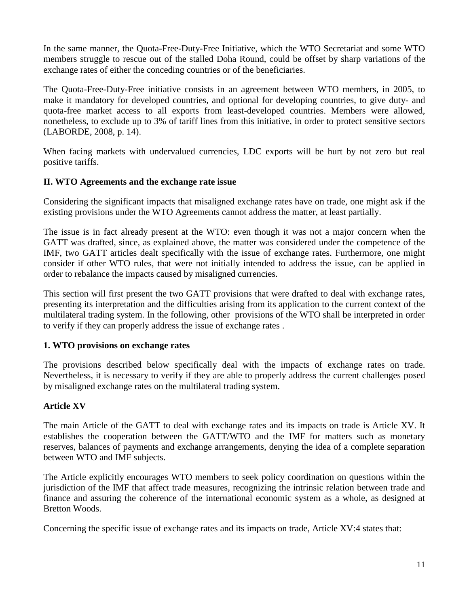In the same manner, the Quota-Free-Duty-Free Initiative, which the WTO Secretariat and some WTO members struggle to rescue out of the stalled Doha Round, could be offset by sharp variations of the exchange rates of either the conceding countries or of the beneficiaries.

The Quota-Free-Duty-Free initiative consists in an agreement between WTO members, in 2005, to make it mandatory for developed countries, and optional for developing countries, to give duty- and quota-free market access to all exports from least-developed countries. Members were allowed, nonetheless, to exclude up to 3% of tariff lines from this initiative, in order to protect sensitive sectors (LABORDE, 2008, p. 14).

When facing markets with undervalued currencies, LDC exports will be hurt by not zero but real positive tariffs.

## **II. WTO Agreements and the exchange rate issue**

Considering the significant impacts that misaligned exchange rates have on trade, one might ask if the existing provisions under the WTO Agreements cannot address the matter, at least partially.

The issue is in fact already present at the WTO: even though it was not a major concern when the GATT was drafted, since, as explained above, the matter was considered under the competence of the IMF, two GATT articles dealt specifically with the issue of exchange rates. Furthermore, one might consider if other WTO rules, that were not initially intended to address the issue, can be applied in order to rebalance the impacts caused by misaligned currencies.

This section will first present the two GATT provisions that were drafted to deal with exchange rates, presenting its interpretation and the difficulties arising from its application to the current context of the multilateral trading system. In the following, other provisions of the WTO shall be interpreted in order to verify if they can properly address the issue of exchange rates .

### **1. WTO provisions on exchange rates**

The provisions described below specifically deal with the impacts of exchange rates on trade. Nevertheless, it is necessary to verify if they are able to properly address the current challenges posed by misaligned exchange rates on the multilateral trading system.

### **Article XV**

The main Article of the GATT to deal with exchange rates and its impacts on trade is Article XV. It establishes the cooperation between the GATT/WTO and the IMF for matters such as monetary reserves, balances of payments and exchange arrangements, denying the idea of a complete separation between WTO and IMF subjects.

The Article explicitly encourages WTO members to seek policy coordination on questions within the jurisdiction of the IMF that affect trade measures, recognizing the intrinsic relation between trade and finance and assuring the coherence of the international economic system as a whole, as designed at Bretton Woods.

Concerning the specific issue of exchange rates and its impacts on trade, Article XV:4 states that: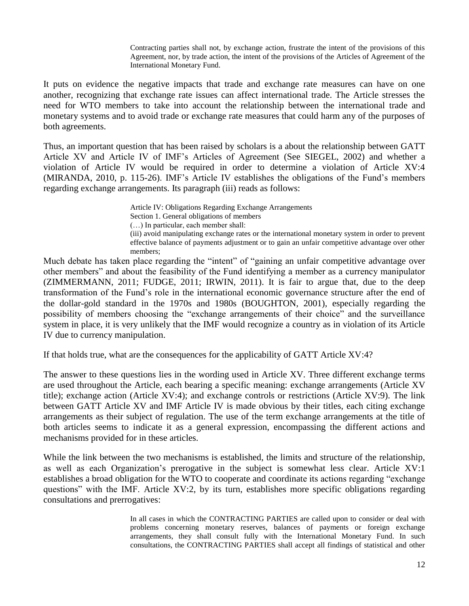Contracting parties shall not, by exchange action, frustrate the intent of the provisions of this Agreement, nor, by trade action, the intent of the provisions of the Articles of Agreement of the International Monetary Fund.

It puts on evidence the negative impacts that trade and exchange rate measures can have on one another, recognizing that exchange rate issues can affect international trade. The Article stresses the need for WTO members to take into account the relationship between the international trade and monetary systems and to avoid trade or exchange rate measures that could harm any of the purposes of both agreements.

Thus, an important question that has been raised by scholars is a about the relationship between GATT Article XV and Article IV of IMF's Articles of Agreement (See SIEGEL, 2002) and whether a violation of Article IV would be required in order to determine a violation of Article XV:4 (MIRANDA, 2010, p. 115-26). IMF's Article IV establishes the obligations of the Fund's members regarding exchange arrangements. Its paragraph (iii) reads as follows:

> Article IV: Obligations Regarding Exchange Arrangements Section 1. General obligations of members (…) In particular, each member shall: (iii) avoid manipulating exchange rates or the international monetary system in order to prevent effective balance of payments adjustment or to gain an unfair competitive advantage over other members;

Much debate has taken place regarding the "intent" of "gaining an unfair competitive advantage over other members" and about the feasibility of the Fund identifying a member as a currency manipulator (ZIMMERMANN, 2011; FUDGE, 2011; IRWIN, 2011). It is fair to argue that, due to the deep transformation of the Fund's role in the international economic governance structure after the end of the dollar-gold standard in the 1970s and 1980s (BOUGHTON, 2001), especially regarding the possibility of members choosing the "exchange arrangements of their choice" and the surveillance system in place, it is very unlikely that the IMF would recognize a country as in violation of its Article IV due to currency manipulation.

If that holds true, what are the consequences for the applicability of GATT Article XV:4?

The answer to these questions lies in the wording used in Article XV. Three different exchange terms are used throughout the Article, each bearing a specific meaning: exchange arrangements (Article XV title); exchange action (Article XV:4); and exchange controls or restrictions (Article XV:9). The link between GATT Article XV and IMF Article IV is made obvious by their titles, each citing exchange arrangements as their subject of regulation. The use of the term exchange arrangements at the title of both articles seems to indicate it as a general expression, encompassing the different actions and mechanisms provided for in these articles.

While the link between the two mechanisms is established, the limits and structure of the relationship, as well as each Organization's prerogative in the subject is somewhat less clear. Article XV:1 establishes a broad obligation for the WTO to cooperate and coordinate its actions regarding "exchange questions" with the IMF. Article XV:2, by its turn, establishes more specific obligations regarding consultations and prerrogatives:

> In all cases in which the CONTRACTING PARTIES are called upon to consider or deal with problems concerning monetary reserves, balances of payments or foreign exchange arrangements, they shall consult fully with the International Monetary Fund. In such consultations, the CONTRACTING PARTIES shall accept all findings of statistical and other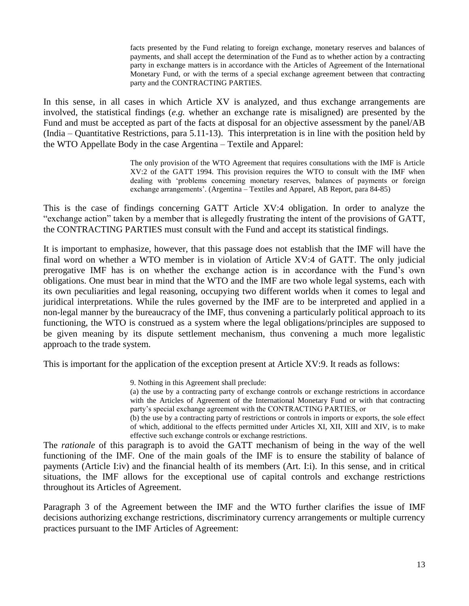facts presented by the Fund relating to foreign exchange, monetary reserves and balances of payments, and shall accept the determination of the Fund as to whether action by a contracting party in exchange matters is in accordance with the Articles of Agreement of the International Monetary Fund, or with the terms of a special exchange agreement between that contracting party and the CONTRACTING PARTIES.

In this sense, in all cases in which Article XV is analyzed, and thus exchange arrangements are involved, the statistical findings (*e.g.* whether an exchange rate is misaligned) are presented by the Fund and must be accepted as part of the facts at disposal for an objective assessment by the panel/AB (India – Quantitative Restrictions, para 5.11-13). This interpretation is in line with the position held by the WTO Appellate Body in the case Argentina – Textile and Apparel:

> The only provision of the WTO Agreement that requires consultations with the IMF is Article XV:2 of the GATT 1994. This provision requires the WTO to consult with the IMF when dealing with 'problems concerning monetary reserves, balances of payments or foreign exchange arrangements'. (Argentina – Textiles and Apparel, AB Report, para 84-85)

This is the case of findings concerning GATT Article XV:4 obligation. In order to analyze the "exchange action" taken by a member that is allegedly frustrating the intent of the provisions of GATT, the CONTRACTING PARTIES must consult with the Fund and accept its statistical findings.

It is important to emphasize, however, that this passage does not establish that the IMF will have the final word on whether a WTO member is in violation of Article XV:4 of GATT. The only judicial prerogative IMF has is on whether the exchange action is in accordance with the Fund's own obligations. One must bear in mind that the WTO and the IMF are two whole legal systems, each with its own peculiarities and legal reasoning, occupying two different worlds when it comes to legal and juridical interpretations. While the rules governed by the IMF are to be interpreted and applied in a non-legal manner by the bureaucracy of the IMF, thus convening a particularly political approach to its functioning, the WTO is construed as a system where the legal obligations/principles are supposed to be given meaning by its dispute settlement mechanism, thus convening a much more legalistic approach to the trade system.

This is important for the application of the exception present at Article XV:9. It reads as follows:

9. Nothing in this Agreement shall preclude:

(a) the use by a contracting party of exchange controls or exchange restrictions in accordance with the Articles of Agreement of the International Monetary Fund or with that contracting party's special exchange agreement with the CONTRACTING PARTIES, or

(b) the use by a contracting party of restrictions or controls in imports or exports, the sole effect of which, additional to the effects permitted under Articles XI, XII, XIII and XIV, is to make effective such exchange controls or exchange restrictions.

The *rationale* of this paragraph is to avoid the GATT mechanism of being in the way of the well functioning of the IMF. One of the main goals of the IMF is to ensure the stability of balance of payments (Article I:iv) and the financial health of its members (Art. I:i). In this sense, and in critical situations, the IMF allows for the exceptional use of capital controls and exchange restrictions throughout its Articles of Agreement.

Paragraph 3 of the Agreement between the IMF and the WTO further clarifies the issue of IMF decisions authorizing exchange restrictions, discriminatory currency arrangements or multiple currency practices pursuant to the IMF Articles of Agreement: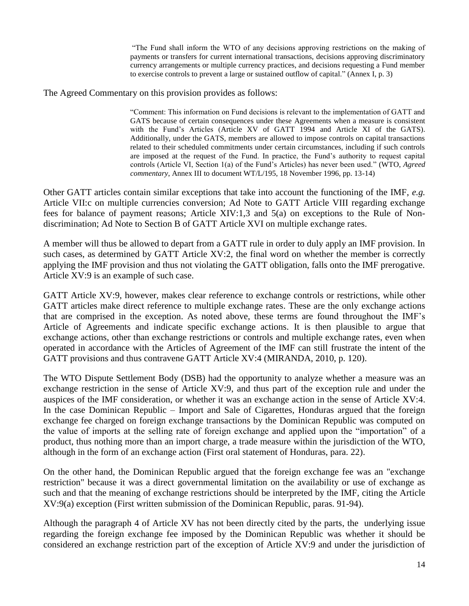"The Fund shall inform the WTO of any decisions approving restrictions on the making of payments or transfers for current international transactions, decisions approving discriminatory currency arrangements or multiple currency practices, and decisions requesting a Fund member to exercise controls to prevent a large or sustained outflow of capital." (Annex I, p. 3)

The Agreed Commentary on this provision provides as follows:

"Comment: This information on Fund decisions is relevant to the implementation of GATT and GATS because of certain consequences under these Agreements when a measure is consistent with the Fund's Articles [\(Article XV of GATT 1994](http://www.wto.org/english/res_e/booksp_e/analytic_index_e/gatt1994_06_e.htm#article15) and [Article XI of the GATS\)](http://www.wto.org/english/res_e/booksp_e/analytic_index_e/gats_02_e.htm#article11). Additionally, under the GATS, members are allowed to impose controls on capital transactions related to their scheduled commitments under certain circumstances, including if such controls are imposed at the request of the Fund. In practice, the Fund's authority to request capital controls (Article VI, Section 1(a) of the Fund's Articles) has never been used." (WTO, *Agreed commentary*, Annex III to document WT/L/195, 18 November 1996, pp. 13-14)

Other GATT articles contain similar exceptions that take into account the functioning of the IMF, *e.g.* Article VII:c on multiple currencies conversion; Ad Note to GATT Article VIII regarding exchange fees for balance of payment reasons; Article XIV:1,3 and 5(a) on exceptions to the Rule of Nondiscrimination; Ad Note to Section B of GATT Article XVI on multiple exchange rates.

A member will thus be allowed to depart from a GATT rule in order to duly apply an IMF provision. In such cases, as determined by GATT Article XV:2, the final word on whether the member is correctly applying the IMF provision and thus not violating the GATT obligation, falls onto the IMF prerogative. Article XV:9 is an example of such case.

GATT Article XV:9, however, makes clear reference to exchange controls or restrictions, while other GATT articles make direct reference to multiple exchange rates. These are the only exchange actions that are comprised in the exception. As noted above, these terms are found throughout the IMF's Article of Agreements and indicate specific exchange actions. It is then plausible to argue that exchange actions, other than exchange restrictions or controls and multiple exchange rates, even when operated in accordance with the Articles of Agreement of the IMF can still frustrate the intent of the GATT provisions and thus contravene GATT Article XV:4 (MIRANDA, 2010, p. 120).

The WTO Dispute Settlement Body (DSB) had the opportunity to analyze whether a measure was an exchange restriction in the sense of Article XV:9, and thus part of the exception rule and under the auspices of the IMF consideration, or whether it was an exchange action in the sense of Article XV:4. In the case Dominican Republic – Import and Sale of Cigarettes, Honduras argued that the foreign exchange fee charged on foreign exchange transactions by the Dominican Republic was computed on the value of imports at the selling rate of foreign exchange and applied upon the "importation" of a product, thus nothing more than an import charge, a trade measure within the jurisdiction of the WTO, although in the form of an exchange action (First oral statement of Honduras, para. 22).

On the other hand, the Dominican Republic argued that the foreign exchange fee was an "exchange restriction" because it was a direct governmental limitation on the availability or use of exchange as such and that the meaning of exchange restrictions should be interpreted by the IMF, citing the Article XV:9(a) exception (First written submission of the Dominican Republic, paras. 91-94).

Although the paragraph 4 of Article XV has not been directly cited by the parts, the underlying issue regarding the foreign exchange fee imposed by the Dominican Republic was whether it should be considered an exchange restriction part of the exception of Article XV:9 and under the jurisdiction of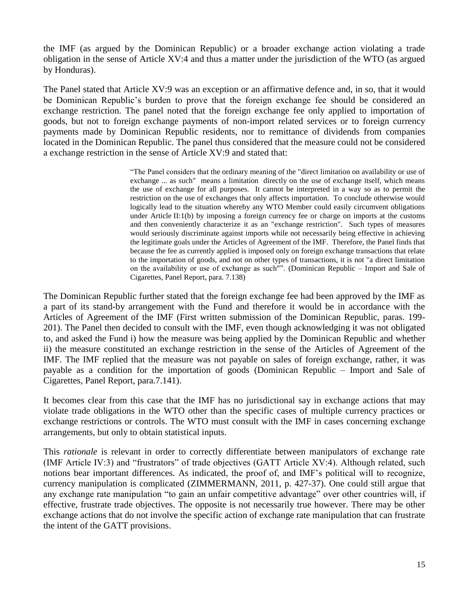the IMF (as argued by the Dominican Republic) or a broader exchange action violating a trade obligation in the sense of Article XV:4 and thus a matter under the jurisdiction of the WTO (as argued by Honduras).

The Panel stated that Article XV:9 was an exception or an affirmative defence and, in so, that it would be Dominican Republic's burden to prove that the foreign exchange fee should be considered an exchange restriction. The panel noted that the foreign exchange fee only applied to importation of goods, but not to foreign exchange payments of non-import related services or to foreign currency payments made by Dominican Republic residents, nor to remittance of dividends from companies located in the Dominican Republic. The panel thus considered that the measure could not be considered a exchange restriction in the sense of Article XV:9 and stated that:

> "The Panel considers that the ordinary meaning of the "direct limitation on availability or use of exchange ... as such" means a limitation directly on the use of exchange itself, which means the use of exchange for all purposes. It cannot be interpreted in a way so as to permit the restriction on the use of exchanges that only affects importation. To conclude otherwise would logically lead to the situation whereby any WTO Member could easily circumvent obligations under Article II:1(b) by imposing a foreign currency fee or charge on imports at the customs and then conveniently characterize it as an "exchange restriction". Such types of measures would seriously discriminate against imports while not necessarily being effective in achieving the legitimate goals under the Articles of Agreement of the IMF. Therefore, the Panel finds that because the fee as currently applied is imposed only on foreign exchange transactions that relate to the importation of goods, and not on other types of transactions, it is not "a direct limitation on the availability or use of exchange as such"". (Dominican Republic – Import and Sale of Cigarettes, Panel Report, para. 7.138)

The Dominican Republic further stated that the foreign exchange fee had been approved by the IMF as a part of its stand-by arrangement with the Fund and therefore it would be in accordance with the Articles of Agreement of the IMF (First written submission of the Dominican Republic, paras. 199- 201). The Panel then decided to consult with the IMF, even though acknowledging it was not obligated to, and asked the Fund i) how the measure was being applied by the Dominican Republic and whether ii) the measure constituted an exchange restriction in the sense of the Articles of Agreement of the IMF. The IMF replied that the measure was not payable on sales of foreign exchange, rather, it was payable as a condition for the importation of goods (Dominican Republic – Import and Sale of Cigarettes, Panel Report, para.7.141).

It becomes clear from this case that the IMF has no jurisdictional say in exchange actions that may violate trade obligations in the WTO other than the specific cases of multiple currency practices or exchange restrictions or controls. The WTO must consult with the IMF in cases concerning exchange arrangements, but only to obtain statistical inputs.

This *rationale* is relevant in order to correctly differentiate between manipulators of exchange rate (IMF Article IV:3) and "frustrators" of trade objectives (GATT Article XV:4). Although related, such notions bear important differences. As indicated, the proof of, and IMF's political will to recognize, currency manipulation is complicated (ZIMMERMANN, 2011, p. 427-37). One could still argue that any exchange rate manipulation "to gain an unfair competitive advantage" over other countries will, if effective, frustrate trade objectives. The opposite is not necessarily true however. There may be other exchange actions that do not involve the specific action of exchange rate manipulation that can frustrate the intent of the GATT provisions.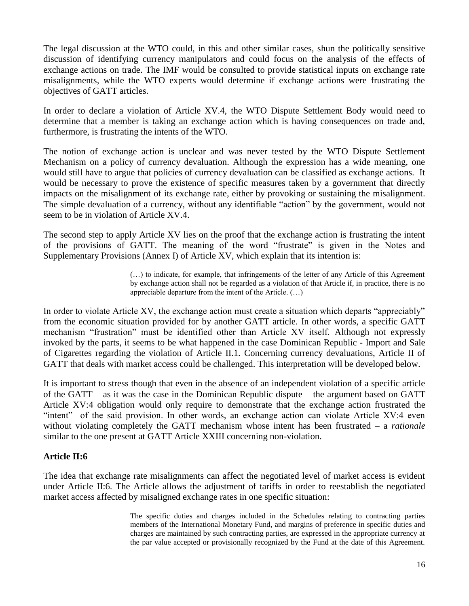The legal discussion at the WTO could, in this and other similar cases, shun the politically sensitive discussion of identifying currency manipulators and could focus on the analysis of the effects of exchange actions on trade. The IMF would be consulted to provide statistical inputs on exchange rate misalignments, while the WTO experts would determine if exchange actions were frustrating the objectives of GATT articles.

In order to declare a violation of Article XV.4, the WTO Dispute Settlement Body would need to determine that a member is taking an exchange action which is having consequences on trade and, furthermore, is frustrating the intents of the WTO.

The notion of exchange action is unclear and was never tested by the WTO Dispute Settlement Mechanism on a policy of currency devaluation. Although the expression has a wide meaning, one would still have to argue that policies of currency devaluation can be classified as exchange actions. It would be necessary to prove the existence of specific measures taken by a government that directly impacts on the misalignment of its exchange rate, either by provoking or sustaining the misalignment. The simple devaluation of a currency, without any identifiable "action" by the government, would not seem to be in violation of Article XV.4.

The second step to apply Article XV lies on the proof that the exchange action is frustrating the intent of the provisions of GATT. The meaning of the word "frustrate" is given in the Notes and Supplementary Provisions (Annex I) of Article XV, which explain that its intention is:

> (…) to indicate, for example, that infringements of the letter of any Article of this Agreement by exchange action shall not be regarded as a violation of that Article if, in practice, there is no appreciable departure from the intent of the Article. (…)

In order to violate Article XV, the exchange action must create a situation which departs "appreciably" from the economic situation provided for by another GATT article. In other words, a specific GATT mechanism "frustration" must be identified other than Article XV itself. Although not expressly invoked by the parts, it seems to be what happened in the case Dominican Republic - Import and Sale of Cigarettes regarding the violation of Article II.1. Concerning currency devaluations, Article II of GATT that deals with market access could be challenged. This interpretation will be developed below.

It is important to stress though that even in the absence of an independent violation of a specific article of the GATT – as it was the case in the Dominican Republic dispute – the argument based on GATT Article XV:4 obligation would only require to demonstrate that the exchange action frustrated the "intent" of the said provision. In other words, an exchange action can violate Article XV:4 even without violating completely the GATT mechanism whose intent has been frustrated – a *rationale* similar to the one present at GATT Article XXIII concerning non-violation.

### **Article II:6**

The idea that exchange rate misalignments can affect the negotiated level of market access is evident under Article II:6. The Article allows the adjustment of tariffs in order to reestablish the negotiated market access affected by misaligned exchange rates in one specific situation:

> The specific duties and charges included in the Schedules relating to contracting parties members of the International Monetary Fund, and margins of preference in specific duties and charges are maintained by such contracting parties, are expressed in the appropriate currency at the par value accepted or provisionally recognized by the Fund at the date of this Agreement.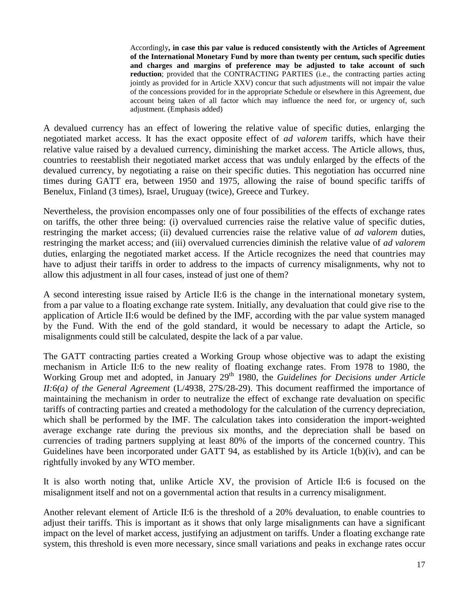Accordingly**, in case this par value is reduced consistently with the Articles of Agreement of the International Monetary Fund by more than twenty per centum, such specific duties and charges and margins of preference may be adjusted to take account of such reduction**; provided that the CONTRACTING PARTIES (i.e., the contracting parties acting jointly as provided for in Article XXV) concur that such adjustments will not impair the value of the concessions provided for in the appropriate Schedule or elsewhere in this Agreement, due account being taken of all factor which may influence the need for, or urgency of, such adjustment. (Emphasis added)

A devalued currency has an effect of lowering the relative value of specific duties, enlarging the negotiated market access. It has the exact opposite effect of *ad valorem* tariffs, which have their relative value raised by a devalued currency, diminishing the market access. The Article allows, thus, countries to reestablish their negotiated market access that was unduly enlarged by the effects of the devalued currency, by negotiating a raise on their specific duties. This negotiation has occurred nine times during GATT era, between 1950 and 1975, allowing the raise of bound specific tariffs of Benelux, Finland (3 times), Israel, Uruguay (twice), Greece and Turkey.

Nevertheless, the provision encompasses only one of four possibilities of the effects of exchange rates on tariffs, the other three being: (i) overvalued currencies raise the relative value of specific duties, restringing the market access; (ii) devalued currencies raise the relative value of *ad valorem* duties, restringing the market access; and (iii) overvalued currencies diminish the relative value of *ad valorem* duties, enlarging the negotiated market access. If the Article recognizes the need that countries may have to adjust their tariffs in order to address to the impacts of currency misalignments, why not to allow this adjustment in all four cases, instead of just one of them?

A second interesting issue raised by Article II:6 is the change in the international monetary system, from a par value to a floating exchange rate system. Initially, any devaluation that could give rise to the application of Article II:6 would be defined by the IMF, according with the par value system managed by the Fund. With the end of the gold standard, it would be necessary to adapt the Article, so misalignments could still be calculated, despite the lack of a par value.

The GATT contracting parties created a Working Group whose objective was to adapt the existing mechanism in Article II:6 to the new reality of floating exchange rates. From 1978 to 1980, the Working Group met and adopted, in January 29<sup>th</sup> 1980, the *Guidelines for Decisions under Article II:6(a) of the General Agreement* (L/4938, 27S/28-29). This document reaffirmed the importance of maintaining the mechanism in order to neutralize the effect of exchange rate devaluation on specific tariffs of contracting parties and created a methodology for the calculation of the currency depreciation, which shall be performed by the IMF. The calculation takes into consideration the import-weighted average exchange rate during the previous six months, and the depreciation shall be based on currencies of trading partners supplying at least 80% of the imports of the concerned country. This Guidelines have been incorporated under GATT 94, as established by its Article 1(b)(iv), and can be rightfully invoked by any WTO member.

It is also worth noting that, unlike Article XV, the provision of Article II:6 is focused on the misalignment itself and not on a governmental action that results in a currency misalignment.

Another relevant element of Article II:6 is the threshold of a 20% devaluation, to enable countries to adjust their tariffs. This is important as it shows that only large misalignments can have a significant impact on the level of market access, justifying an adjustment on tariffs. Under a floating exchange rate system, this threshold is even more necessary, since small variations and peaks in exchange rates occur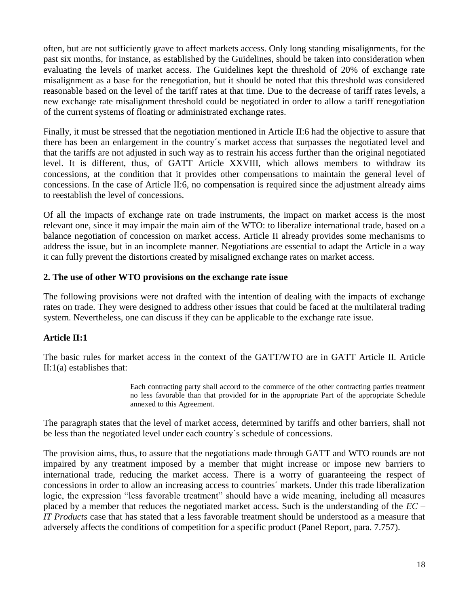often, but are not sufficiently grave to affect markets access. Only long standing misalignments, for the past six months, for instance, as established by the Guidelines, should be taken into consideration when evaluating the levels of market access. The Guidelines kept the threshold of 20% of exchange rate misalignment as a base for the renegotiation, but it should be noted that this threshold was considered reasonable based on the level of the tariff rates at that time. Due to the decrease of tariff rates levels, a new exchange rate misalignment threshold could be negotiated in order to allow a tariff renegotiation of the current systems of floating or administrated exchange rates.

Finally, it must be stressed that the negotiation mentioned in Article II:6 had the objective to assure that there has been an enlargement in the country´s market access that surpasses the negotiated level and that the tariffs are not adjusted in such way as to restrain his access further than the original negotiated level. It is different, thus, of GATT Article XXVIII, which allows members to withdraw its concessions, at the condition that it provides other compensations to maintain the general level of concessions. In the case of Article II:6, no compensation is required since the adjustment already aims to reestablish the level of concessions.

Of all the impacts of exchange rate on trade instruments, the impact on market access is the most relevant one, since it may impair the main aim of the WTO: to liberalize international trade, based on a balance negotiation of concession on market access. Article II already provides some mechanisms to address the issue, but in an incomplete manner. Negotiations are essential to adapt the Article in a way it can fully prevent the distortions created by misaligned exchange rates on market access.

### **2. The use of other WTO provisions on the exchange rate issue**

The following provisions were not drafted with the intention of dealing with the impacts of exchange rates on trade. They were designed to address other issues that could be faced at the multilateral trading system. Nevertheless, one can discuss if they can be applicable to the exchange rate issue.

# **Article II:1**

The basic rules for market access in the context of the GATT/WTO are in GATT Article II. Article II:1(a) establishes that:

> Each contracting party shall accord to the commerce of the other contracting parties treatment no less favorable than that provided for in the appropriate Part of the appropriate Schedule annexed to this Agreement.

The paragraph states that the level of market access, determined by tariffs and other barriers, shall not be less than the negotiated level under each country´s schedule of concessions.

The provision aims, thus, to assure that the negotiations made through GATT and WTO rounds are not impaired by any treatment imposed by a member that might increase or impose new barriers to international trade, reducing the market access. There is a worry of guaranteeing the respect of concessions in order to allow an increasing access to countries´ markets. Under this trade liberalization logic, the expression "less favorable treatment" should have a wide meaning, including all measures placed by a member that reduces the negotiated market access. Such is the understanding of the *EC – IT Products* case that has stated that a less favorable treatment should be understood as a measure that adversely affects the conditions of competition for a specific product (Panel Report, para. 7.757).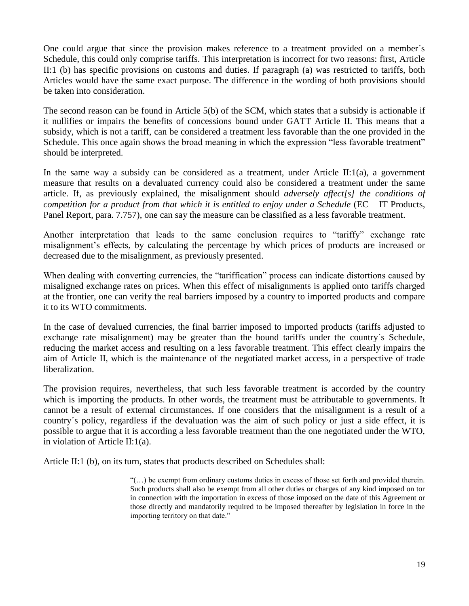One could argue that since the provision makes reference to a treatment provided on a member´s Schedule, this could only comprise tariffs. This interpretation is incorrect for two reasons: first, Article II:1 (b) has specific provisions on customs and duties. If paragraph (a) was restricted to tariffs, both Articles would have the same exact purpose. The difference in the wording of both provisions should be taken into consideration.

The second reason can be found in Article 5(b) of the SCM, which states that a subsidy is actionable if it nullifies or impairs the benefits of concessions bound under GATT Article II. This means that a subsidy, which is not a tariff, can be considered a treatment less favorable than the one provided in the Schedule. This once again shows the broad meaning in which the expression "less favorable treatment" should be interpreted.

In the same way a subsidy can be considered as a treatment, under Article II:1(a), a government measure that results on a devaluated currency could also be considered a treatment under the same article. If, as previously explained, the misalignment should *adversely affect[s] the conditions of competition for a product from that which it is entitled to enjoy under a Schedule* (EC – IT Products, Panel Report, para. 7.757), one can say the measure can be classified as a less favorable treatment.

Another interpretation that leads to the same conclusion requires to "tariffy" exchange rate misalignment's effects, by calculating the percentage by which prices of products are increased or decreased due to the misalignment, as previously presented.

When dealing with converting currencies, the "tariffication" process can indicate distortions caused by misaligned exchange rates on prices. When this effect of misalignments is applied onto tariffs charged at the frontier, one can verify the real barriers imposed by a country to imported products and compare it to its WTO commitments.

In the case of devalued currencies, the final barrier imposed to imported products (tariffs adjusted to exchange rate misalignment) may be greater than the bound tariffs under the country´s Schedule, reducing the market access and resulting on a less favorable treatment. This effect clearly impairs the aim of Article II, which is the maintenance of the negotiated market access, in a perspective of trade liberalization.

The provision requires, nevertheless, that such less favorable treatment is accorded by the country which is importing the products. In other words, the treatment must be attributable to governments. It cannot be a result of external circumstances. If one considers that the misalignment is a result of a country´s policy, regardless if the devaluation was the aim of such policy or just a side effect, it is possible to argue that it is according a less favorable treatment than the one negotiated under the WTO, in violation of Article II:1(a).

Article II:1 (b), on its turn, states that products described on Schedules shall:

"(…) be exempt from ordinary customs duties in excess of those set forth and provided therein. Such products shall also be exempt from all other duties or charges of any kind imposed on tor in connection with the importation in excess of those imposed on the date of this Agreement or those directly and mandatorily required to be imposed thereafter by legislation in force in the importing territory on that date."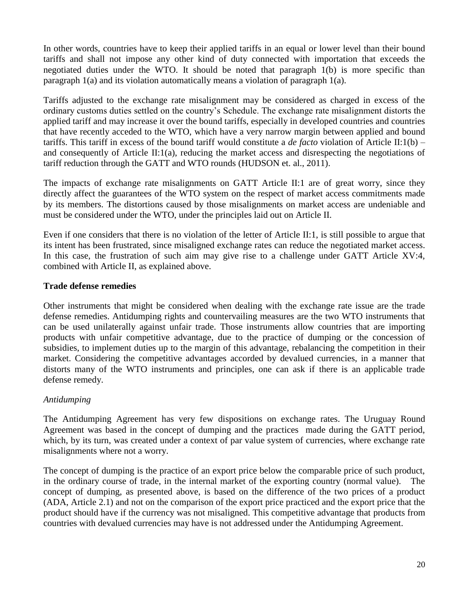In other words, countries have to keep their applied tariffs in an equal or lower level than their bound tariffs and shall not impose any other kind of duty connected with importation that exceeds the negotiated duties under the WTO. It should be noted that paragraph 1(b) is more specific than paragraph 1(a) and its violation automatically means a violation of paragraph 1(a).

Tariffs adjusted to the exchange rate misalignment may be considered as charged in excess of the ordinary customs duties settled on the country's Schedule. The exchange rate misalignment distorts the applied tariff and may increase it over the bound tariffs, especially in developed countries and countries that have recently acceded to the WTO, which have a very narrow margin between applied and bound tariffs. This tariff in excess of the bound tariff would constitute a *de facto* violation of Article II:1(b) – and consequently of Article II:1(a), reducing the market access and disrespecting the negotiations of tariff reduction through the GATT and WTO rounds (HUDSON et. al., 2011).

The impacts of exchange rate misalignments on GATT Article II:1 are of great worry, since they directly affect the guarantees of the WTO system on the respect of market access commitments made by its members. The distortions caused by those misalignments on market access are undeniable and must be considered under the WTO, under the principles laid out on Article II.

Even if one considers that there is no violation of the letter of Article II:1, is still possible to argue that its intent has been frustrated, since misaligned exchange rates can reduce the negotiated market access. In this case, the frustration of such aim may give rise to a challenge under GATT Article XV:4, combined with Article II, as explained above.

## **Trade defense remedies**

Other instruments that might be considered when dealing with the exchange rate issue are the trade defense remedies. Antidumping rights and countervailing measures are the two WTO instruments that can be used unilaterally against unfair trade. Those instruments allow countries that are importing products with unfair competitive advantage, due to the practice of dumping or the concession of subsidies, to implement duties up to the margin of this advantage, rebalancing the competition in their market. Considering the competitive advantages accorded by devalued currencies, in a manner that distorts many of the WTO instruments and principles, one can ask if there is an applicable trade defense remedy.

# *Antidumping*

The Antidumping Agreement has very few dispositions on exchange rates. The Uruguay Round Agreement was based in the concept of dumping and the practices made during the GATT period, which, by its turn, was created under a context of par value system of currencies, where exchange rate misalignments where not a worry.

The concept of dumping is the practice of an export price below the comparable price of such product, in the ordinary course of trade, in the internal market of the exporting country (normal value). The concept of dumping, as presented above, is based on the difference of the two prices of a product (ADA, Article 2.1) and not on the comparison of the export price practiced and the export price that the product should have if the currency was not misaligned. This competitive advantage that products from countries with devalued currencies may have is not addressed under the Antidumping Agreement.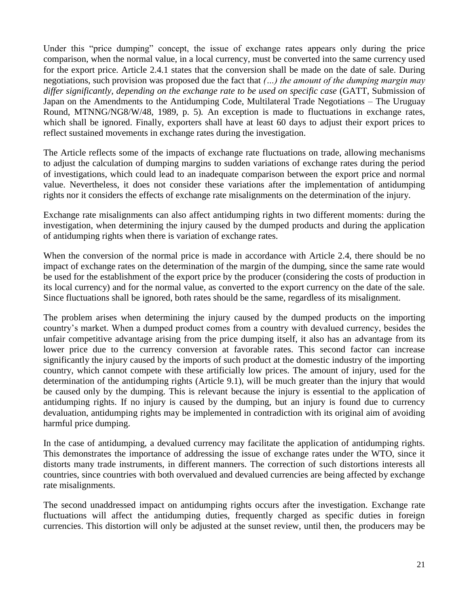Under this "price dumping" concept, the issue of exchange rates appears only during the price comparison, when the normal value, in a local currency, must be converted into the same currency used for the export price. Article 2.4.1 states that the conversion shall be made on the date of sale. During negotiations, such provision was proposed due the fact that *(…) the amount of the dumping margin may differ significantly, depending on the exchange rate to be used on specific case* (GATT, Submission of Japan on the Amendments to the Antidumping Code, Multilateral Trade Negotiations – The Uruguay Round, MTNNG/NG8/W/48, 1989, p. 5)*.* An exception is made to fluctuations in exchange rates, which shall be ignored. Finally, exporters shall have at least 60 days to adjust their export prices to reflect sustained movements in exchange rates during the investigation.

The Article reflects some of the impacts of exchange rate fluctuations on trade, allowing mechanisms to adjust the calculation of dumping margins to sudden variations of exchange rates during the period of investigations, which could lead to an inadequate comparison between the export price and normal value. Nevertheless, it does not consider these variations after the implementation of antidumping rights nor it considers the effects of exchange rate misalignments on the determination of the injury.

Exchange rate misalignments can also affect antidumping rights in two different moments: during the investigation, when determining the injury caused by the dumped products and during the application of antidumping rights when there is variation of exchange rates.

When the conversion of the normal price is made in accordance with Article 2.4, there should be no impact of exchange rates on the determination of the margin of the dumping, since the same rate would be used for the establishment of the export price by the producer (considering the costs of production in its local currency) and for the normal value, as converted to the export currency on the date of the sale. Since fluctuations shall be ignored, both rates should be the same, regardless of its misalignment.

The problem arises when determining the injury caused by the dumped products on the importing country's market. When a dumped product comes from a country with devalued currency, besides the unfair competitive advantage arising from the price dumping itself, it also has an advantage from its lower price due to the currency conversion at favorable rates. This second factor can increase significantly the injury caused by the imports of such product at the domestic industry of the importing country, which cannot compete with these artificially low prices. The amount of injury, used for the determination of the antidumping rights (Article 9.1), will be much greater than the injury that would be caused only by the dumping. This is relevant because the injury is essential to the application of antidumping rights. If no injury is caused by the dumping, but an injury is found due to currency devaluation, antidumping rights may be implemented in contradiction with its original aim of avoiding harmful price dumping.

In the case of antidumping, a devalued currency may facilitate the application of antidumping rights. This demonstrates the importance of addressing the issue of exchange rates under the WTO, since it distorts many trade instruments, in different manners. The correction of such distortions interests all countries, since countries with both overvalued and devalued currencies are being affected by exchange rate misalignments.

The second unaddressed impact on antidumping rights occurs after the investigation. Exchange rate fluctuations will affect the antidumping duties, frequently charged as specific duties in foreign currencies. This distortion will only be adjusted at the sunset review, until then, the producers may be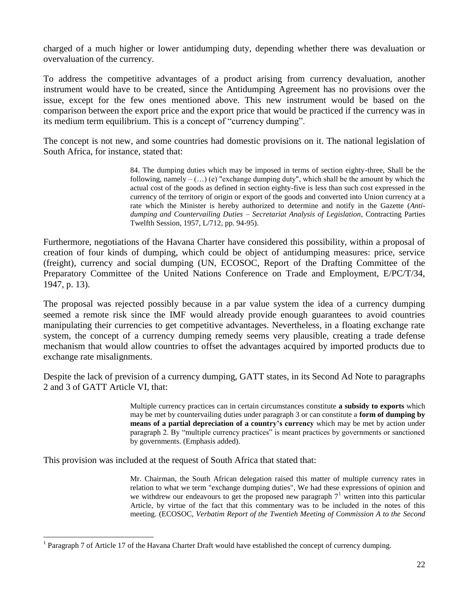charged of a much higher or lower antidumping duty, depending whether there was devaluation or overvaluation of the currency.

To address the competitive advantages of a product arising from currency devaluation, another instrument would have to be created, since the Antidumping Agreement has no provisions over the issue, except for the few ones mentioned above. This new instrument would be based on the comparison between the export price and the export price that would be practiced if the currency was in its medium term equilibrium. This is a concept of "currency dumping".

The concept is not new, and some countries had domestic provisions on it. The national legislation of South Africa, for instance, stated that:

> 84. The dumping duties which may be imposed in terms of section eighty-three, Shall be the following, namely –  $(...)$  (e) "exchange dumping duty", which shall be the amount by which the actual cost of the goods as defined in section eighty-five is less than such cost expressed in the currency of the territory of origin or export of the goods and converted into Union currency at a rate which the Minister is hereby authorized to determine and notify in the Gazette (*Antidumping and Countervailing Duties – Secretariat Analysis of Legislation*, Contracting Parties Twelfth Session, 1957, L/712, pp. 94-95).

Furthermore, negotiations of the Havana Charter have considered this possibility, within a proposal of creation of four kinds of dumping, which could be object of antidumping measures: price, service (freight), currency and social dumping (UN, ECOSOC, Report of the Drafting Committee of the Preparatory Committee of the United Nations Conference on Trade and Employment, E/PC/T/34, 1947, p. 13).

The proposal was rejected possibly because in a par value system the idea of a currency dumping seemed a remote risk since the IMF would already provide enough guarantees to avoid countries manipulating their currencies to get competitive advantages. Nevertheless, in a floating exchange rate system, the concept of a currency dumping remedy seems very plausible, creating a trade defense mechanism that would allow countries to offset the advantages acquired by imported products due to exchange rate misalignments.

Despite the lack of prevision of a currency dumping, GATT states, in its Second Ad Note to paragraphs 2 and 3 of GATT Article VI, that:

> Multiple currency practices can in certain circumstances constitute **a subsidy to exports** which may be met by countervailing duties under paragraph 3 or can constitute a **form of dumping by means of a partial depreciation of a country's currency** which may be met by action under paragraph 2. By "multiple currency practices" is meant practices by governments or sanctioned by governments. (Emphasis added).

This provision was included at the request of South Africa that stated that:

l

Mr. Chairman, the South African delegation raised this matter of multiple currency rates in relation to what we term "exchange dumping duties", We had these expressions of opinion and we withdrew our endeavours to get the proposed new paragraph  $7<sup>1</sup>$  written into this particular Article, by virtue of the fact that this commentary was to be included in the notes of this meeting. (ECOSOC, *Verbatim Report of the Twentieh Meeting of Commission A to the Second* 

<sup>&</sup>lt;sup>1</sup> Paragraph 7 of Article 17 of the Havana Charter Draft would have established the concept of currency dumping.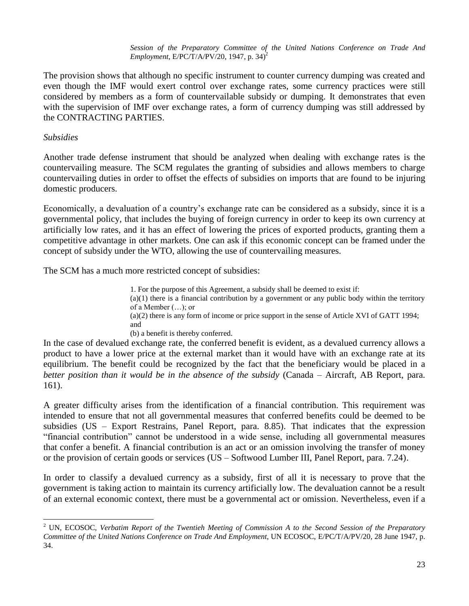*Session of the Preparatory Committee of the United Nations Conference on Trade And Employment*, E/PC/T/A/PV/20, 1947, p. 34)<sup>2</sup>

The provision shows that although no specific instrument to counter currency dumping was created and even though the IMF would exert control over exchange rates, some currency practices were still considered by members as a form of countervailable subsidy or dumping. It demonstrates that even with the supervision of IMF over exchange rates, a form of currency dumping was still addressed by the CONTRACTING PARTIES.

### *Subsidies*

 $\overline{a}$ 

Another trade defense instrument that should be analyzed when dealing with exchange rates is the countervailing measure. The SCM regulates the granting of subsidies and allows members to charge countervailing duties in order to offset the effects of subsidies on imports that are found to be injuring domestic producers.

Economically, a devaluation of a country's exchange rate can be considered as a subsidy, since it is a governmental policy, that includes the buying of foreign currency in order to keep its own currency at artificially low rates, and it has an effect of lowering the prices of exported products, granting them a competitive advantage in other markets. One can ask if this economic concept can be framed under the concept of subsidy under the WTO, allowing the use of countervailing measures.

The SCM has a much more restricted concept of subsidies:

1. For the purpose of this Agreement, a subsidy shall be deemed to exist if:  $(a)(1)$  there is a financial contribution by a government or any public body within the territory of a Member (…); or (a)(2) there is any form of income or price support in the sense of Article XVI of GATT 1994; and (b) a benefit is thereby conferred.

In the case of devalued exchange rate, the conferred benefit is evident, as a devalued currency allows a product to have a lower price at the external market than it would have with an exchange rate at its equilibrium. The benefit could be recognized by the fact that the beneficiary would be placed in a *better position than it would be in the absence of the subsidy* (Canada – Aircraft, AB Report, para. 161).

A greater difficulty arises from the identification of a financial contribution. This requirement was intended to ensure that not all governmental measures that conferred benefits could be deemed to be subsidies (US – Export Restrains, Panel Report, para. 8.85). That indicates that the expression "financial contribution" cannot be understood in a wide sense, including all governmental measures that confer a benefit. A financial contribution is an act or an omission involving the transfer of money or the provision of certain goods or services (US – Softwood Lumber III, Panel Report, para. 7.24).

In order to classify a devalued currency as a subsidy, first of all it is necessary to prove that the government is taking action to maintain its currency artificially low. The devaluation cannot be a result of an external economic context, there must be a governmental act or omission. Nevertheless, even if a

<sup>2</sup> UN, ECOSOC, *Verbatim Report of the Twentieh Meeting of Commission A to the Second Session of the Preparatory Committee of the United Nations Conference on Trade And Employment*, UN ECOSOC, E/PC/T/A/PV/20, 28 June 1947, p. 34.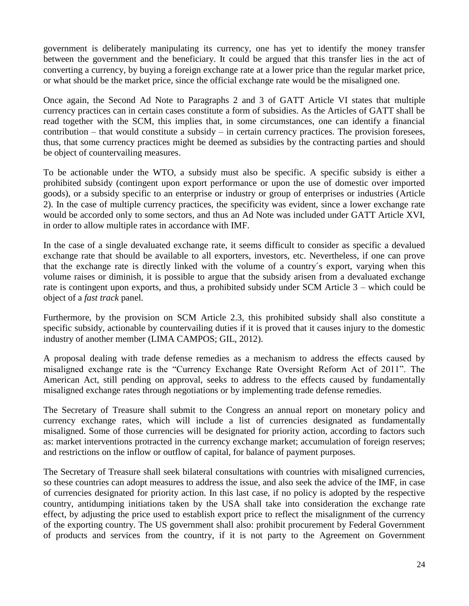government is deliberately manipulating its currency, one has yet to identify the money transfer between the government and the beneficiary. It could be argued that this transfer lies in the act of converting a currency, by buying a foreign exchange rate at a lower price than the regular market price, or what should be the market price, since the official exchange rate would be the misaligned one.

Once again, the Second Ad Note to Paragraphs 2 and 3 of GATT Article VI states that multiple currency practices can in certain cases constitute a form of subsidies. As the Articles of GATT shall be read together with the SCM, this implies that, in some circumstances, one can identify a financial contribution – that would constitute a subsidy – in certain currency practices. The provision foresees, thus, that some currency practices might be deemed as subsidies by the contracting parties and should be object of countervailing measures.

To be actionable under the WTO, a subsidy must also be specific. A specific subsidy is either a prohibited subsidy (contingent upon export performance or upon the use of domestic over imported goods), or a subsidy specific to an enterprise or industry or group of enterprises or industries (Article 2). In the case of multiple currency practices, the specificity was evident, since a lower exchange rate would be accorded only to some sectors, and thus an Ad Note was included under GATT Article XVI, in order to allow multiple rates in accordance with IMF.

In the case of a single devaluated exchange rate, it seems difficult to consider as specific a devalued exchange rate that should be available to all exporters, investors, etc. Nevertheless, if one can prove that the exchange rate is directly linked with the volume of a country´s export, varying when this volume raises or diminish, it is possible to argue that the subsidy arisen from a devaluated exchange rate is contingent upon exports, and thus, a prohibited subsidy under SCM Article 3 – which could be object of a *fast track* panel.

Furthermore, by the provision on SCM Article 2.3, this prohibited subsidy shall also constitute a specific subsidy, actionable by countervailing duties if it is proved that it causes injury to the domestic industry of another member (LIMA CAMPOS; GIL, 2012).

A proposal dealing with trade defense remedies as a mechanism to address the effects caused by misaligned exchange rate is the "Currency Exchange Rate Oversight Reform Act of 2011". The American Act, still pending on approval, seeks to address to the effects caused by fundamentally misaligned exchange rates through negotiations or by implementing trade defense remedies.

The Secretary of Treasure shall submit to the Congress an annual report on monetary policy and currency exchange rates, which will include a list of currencies designated as fundamentally misaligned. Some of those currencies will be designated for priority action, according to factors such as: market interventions protracted in the currency exchange market; accumulation of foreign reserves; and restrictions on the inflow or outflow of capital, for balance of payment purposes.

The Secretary of Treasure shall seek bilateral consultations with countries with misaligned currencies, so these countries can adopt measures to address the issue, and also seek the advice of the IMF, in case of currencies designated for priority action. In this last case, if no policy is adopted by the respective country, antidumping initiations taken by the USA shall take into consideration the exchange rate effect, by adjusting the price used to establish export price to reflect the misalignment of the currency of the exporting country. The US government shall also: prohibit procurement by Federal Government of products and services from the country, if it is not party to the Agreement on Government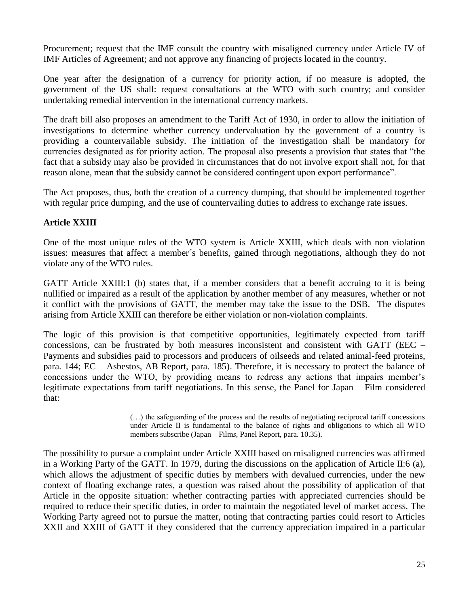Procurement; request that the IMF consult the country with misaligned currency under Article IV of IMF Articles of Agreement; and not approve any financing of projects located in the country.

One year after the designation of a currency for priority action, if no measure is adopted, the government of the US shall: request consultations at the WTO with such country; and consider undertaking remedial intervention in the international currency markets.

The draft bill also proposes an amendment to the Tariff Act of 1930, in order to allow the initiation of investigations to determine whether currency undervaluation by the government of a country is providing a countervailable subsidy. The initiation of the investigation shall be mandatory for currencies designated as for priority action. The proposal also presents a provision that states that "the fact that a subsidy may also be provided in circumstances that do not involve export shall not, for that reason alone, mean that the subsidy cannot be considered contingent upon export performance".

The Act proposes, thus, both the creation of a currency dumping, that should be implemented together with regular price dumping, and the use of countervailing duties to address to exchange rate issues.

# **Article XXIII**

One of the most unique rules of the WTO system is Article XXIII, which deals with non violation issues: measures that affect a member´s benefits, gained through negotiations, although they do not violate any of the WTO rules.

GATT Article XXIII:1 (b) states that, if a member considers that a benefit accruing to it is being nullified or impaired as a result of the application by another member of any measures, whether or not it conflict with the provisions of GATT, the member may take the issue to the DSB. The disputes arising from Article XXIII can therefore be either violation or non-violation complaints.

The logic of this provision is that competitive opportunities, legitimately expected from tariff concessions, can be frustrated by both measures inconsistent and consistent with GATT (EEC – Payments and subsidies paid to processors and producers of oilseeds and related animal-feed proteins, para. 144; EC – Asbestos, AB Report, para. 185). Therefore, it is necessary to protect the balance of concessions under the WTO, by providing means to redress any actions that impairs member's legitimate expectations from tariff negotiations. In this sense, the Panel for Japan – Film considered that:

> (…) the safeguarding of the process and the results of negotiating reciprocal tariff concessions under Article II is fundamental to the balance of rights and obligations to which all WTO members subscribe (Japan – Film*s*, Panel Report, para. 10.35).

The possibility to pursue a complaint under Article XXIII based on misaligned currencies was affirmed in a Working Party of the GATT. In 1979, during the discussions on the application of Article II:6 (a), which allows the adjustment of specific duties by members with devalued currencies, under the new context of floating exchange rates, a question was raised about the possibility of application of that Article in the opposite situation: whether contracting parties with appreciated currencies should be required to reduce their specific duties, in order to maintain the negotiated level of market access. The Working Party agreed not to pursue the matter, noting that contracting parties could resort to Articles XXII and XXIII of GATT if they considered that the currency appreciation impaired in a particular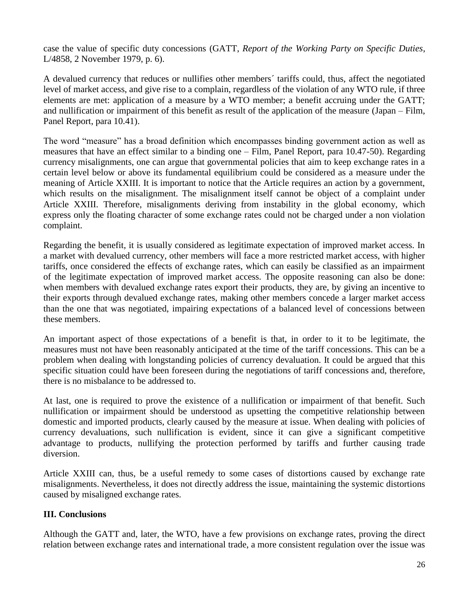case the value of specific duty concessions (GATT, *Report of the Working Party on Specific Duties*, L/4858, 2 November 1979, p. 6).

A devalued currency that reduces or nullifies other members´ tariffs could, thus, affect the negotiated level of market access, and give rise to a complain, regardless of the violation of any WTO rule, if three elements are met: application of a measure by a WTO member; a benefit accruing under the GATT; and nullification or impairment of this benefit as result of the application of the measure (Japan – Film, Panel Report, para 10.41).

The word "measure" has a broad definition which encompasses binding government action as well as measures that have an effect similar to a binding one – Film, Panel Report, para 10.47-50). Regarding currency misalignments, one can argue that governmental policies that aim to keep exchange rates in a certain level below or above its fundamental equilibrium could be considered as a measure under the meaning of Article XXIII. It is important to notice that the Article requires an action by a government, which results on the misalignment. The misalignment itself cannot be object of a complaint under Article XXIII. Therefore, misalignments deriving from instability in the global economy, which express only the floating character of some exchange rates could not be charged under a non violation complaint.

Regarding the benefit, it is usually considered as legitimate expectation of improved market access. In a market with devalued currency, other members will face a more restricted market access, with higher tariffs, once considered the effects of exchange rates, which can easily be classified as an impairment of the legitimate expectation of improved market access. The opposite reasoning can also be done: when members with devalued exchange rates export their products, they are, by giving an incentive to their exports through devalued exchange rates, making other members concede a larger market access than the one that was negotiated, impairing expectations of a balanced level of concessions between these members.

An important aspect of those expectations of a benefit is that, in order to it to be legitimate, the measures must not have been reasonably anticipated at the time of the tariff concessions. This can be a problem when dealing with longstanding policies of currency devaluation. It could be argued that this specific situation could have been foreseen during the negotiations of tariff concessions and, therefore, there is no misbalance to be addressed to.

At last, one is required to prove the existence of a nullification or impairment of that benefit. Such nullification or impairment should be understood as upsetting the competitive relationship between domestic and imported products, clearly caused by the measure at issue. When dealing with policies of currency devaluations, such nullification is evident, since it can give a significant competitive advantage to products, nullifying the protection performed by tariffs and further causing trade diversion.

Article XXIII can, thus, be a useful remedy to some cases of distortions caused by exchange rate misalignments. Nevertheless, it does not directly address the issue, maintaining the systemic distortions caused by misaligned exchange rates.

# **III. Conclusions**

Although the GATT and, later, the WTO, have a few provisions on exchange rates, proving the direct relation between exchange rates and international trade, a more consistent regulation over the issue was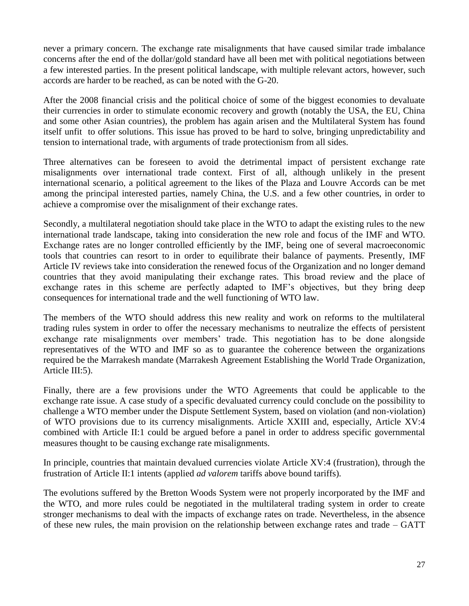never a primary concern. The exchange rate misalignments that have caused similar trade imbalance concerns after the end of the dollar/gold standard have all been met with political negotiations between a few interested parties. In the present political landscape, with multiple relevant actors, however, such accords are harder to be reached, as can be noted with the G-20.

After the 2008 financial crisis and the political choice of some of the biggest economies to devaluate their currencies in order to stimulate economic recovery and growth (notably the USA, the EU, China and some other Asian countries), the problem has again arisen and the Multilateral System has found itself unfit to offer solutions. This issue has proved to be hard to solve, bringing unpredictability and tension to international trade, with arguments of trade protectionism from all sides.

Three alternatives can be foreseen to avoid the detrimental impact of persistent exchange rate misalignments over international trade context. First of all, although unlikely in the present international scenario, a political agreement to the likes of the Plaza and Louvre Accords can be met among the principal interested parties, namely China, the U.S. and a few other countries, in order to achieve a compromise over the misalignment of their exchange rates.

Secondly, a multilateral negotiation should take place in the WTO to adapt the existing rules to the new international trade landscape, taking into consideration the new role and focus of the IMF and WTO. Exchange rates are no longer controlled efficiently by the IMF, being one of several macroeconomic tools that countries can resort to in order to equilibrate their balance of payments. Presently, IMF Article IV reviews take into consideration the renewed focus of the Organization and no longer demand countries that they avoid manipulating their exchange rates. This broad review and the place of exchange rates in this scheme are perfectly adapted to IMF's objectives, but they bring deep consequences for international trade and the well functioning of WTO law.

The members of the WTO should address this new reality and work on reforms to the multilateral trading rules system in order to offer the necessary mechanisms to neutralize the effects of persistent exchange rate misalignments over members' trade. This negotiation has to be done alongside representatives of the WTO and IMF so as to guarantee the coherence between the organizations required be the Marrakesh mandate (Marrakesh Agreement Establishing the World Trade Organization, Article III:5).

Finally, there are a few provisions under the WTO Agreements that could be applicable to the exchange rate issue. A case study of a specific devaluated currency could conclude on the possibility to challenge a WTO member under the Dispute Settlement System, based on violation (and non-violation) of WTO provisions due to its currency misalignments. Article XXIII and, especially, Article XV:4 combined with Article II:1 could be argued before a panel in order to address specific governmental measures thought to be causing exchange rate misalignments.

In principle, countries that maintain devalued currencies violate Article XV:4 (frustration), through the frustration of Article II:1 intents (applied *ad valorem* tariffs above bound tariffs).

The evolutions suffered by the Bretton Woods System were not properly incorporated by the IMF and the WTO, and more rules could be negotiated in the multilateral trading system in order to create stronger mechanisms to deal with the impacts of exchange rates on trade. Nevertheless, in the absence of these new rules, the main provision on the relationship between exchange rates and trade – GATT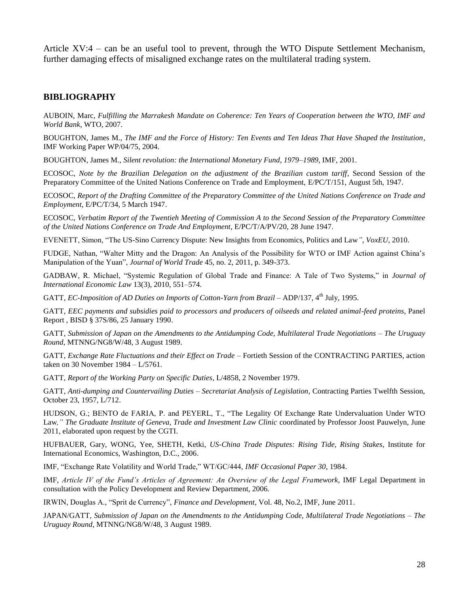Article XV:4 – can be an useful tool to prevent, through the WTO Dispute Settlement Mechanism, further damaging effects of misaligned exchange rates on the multilateral trading system.

#### **BIBLIOGRAPHY**

AUBOIN, Marc, *Fulfilling the Marrakesh Mandate on Coherence: Ten Years of Cooperation between the WTO, IMF and World Bank*, WTO, 2007.

BOUGHTON, James M., *The IMF and the Force of History: Ten Events and Ten Ideas That Have Shaped the Institution*, IMF Working Paper WP/04/75, 2004.

BOUGHTON, James M., *Silent revolution: the International Monetary Fund, 1979–1989*, IMF, 2001.

ECOSOC, *Note by the Brazilian Delegation on the adjustment of the Brazilian custom tariff*, Second Session of the Preparatory Committee of the United Nations Conference on Trade and Employment, E/PC/T/151, August 5th, 1947.

ECOSOC, *Report of the Drafting Committee of the Preparatory Committee of the United Nations Conference on Trade and Employment*, E/PC/T/34, 5 March 1947.

ECOSOC, *Verbatim Report of the Twentieh Meeting of Commission A to the Second Session of the Preparatory Committee of the United Nations Conference on Trade And Employment*, E/PC/T/A/PV/20, 28 June 1947.

EVENETT, Simon, "The US-Sino Currency Dispute: New Insights from Economics, Politics and Law*"*, *VoxEU*, 2010.

FUDGE, Nathan, "Walter Mitty and the Dragon: An Analysis of the Possibility for WTO or IMF Action against China's Manipulation of the Yuan", *Journal of World Trade* 45, no. 2, 2011, p. 349-373.

GADBAW, R. Michael, "Systemic Regulation of Global Trade and Finance: A Tale of Two Systems," in *Journal of International Economic Law* 13(3), 2010, 551–574.

GATT, *EC-Imposition of AD Duties on Imports of Cotton-Yarn from Brazil* – ADP/137, 4<sup>th</sup> July, 1995.

GATT, *EEC payments and subsidies paid to processors and producers of oilseeds and related animal-feed proteins*, Panel Report , BISD § 37S/86, 25 January 1990.

GATT, *Submission of Japan on the Amendments to the Antidumping Code, Multilateral Trade Negotiations – The Uruguay Round*, MTNNG/NG8/W/48, 3 August 1989.

GATT, *Exchange Rate Fluctuations and their Effect on Trade* – Fortieth Session of the CONTRACTING PARTIES, action taken on 30 November 1984 – L/5761.

GATT, *Report of the Working Party on Specific Duties*, L/4858, 2 November 1979.

GATT, *Anti-dumping and Countervailing Duties – Secretariat Analysis of Legislation*, Contracting Parties Twelfth Session, October 23, 1957, L/712.

HUDSON, G.; BENTO de FARIA, P. and PEYERL, T., "The Legality Of Exchange Rate Undervaluation Under WTO Law*," The Graduate Institute of Geneva, Trade and Investment Law Clinic* coordinated by Professor Joost Pauwelyn, June 2011, elaborated upon request by the CGTI.

HUFBAUER, Gary, WONG, Yee, SHETH, Ketki, *US-China Trade Disputes: Rising Tide, Rising Stakes*, Institute for International Economics, Washington, D.C., 2006.

IMF, "Exchange Rate Volatility and World Trade," WT/GC/444, *IMF Occasional Paper 30*, 1984.

IMF, *Article IV of the Fund's Articles of Agreement: An Overview of the Legal Framework*, IMF Legal Department in consultation with the Policy Development and Review Department, 2006.

IRWIN, Douglas A., "Sprit de Currency", *Finance and Development*, Vol. 48, No.2, IMF, June 2011.

JAPAN/GATT, *Submission of Japan on the Amendments to the Antidumping Code, Multilateral Trade Negotiations – The Uruguay Round*, MTNNG/NG8/W/48, 3 August 1989.